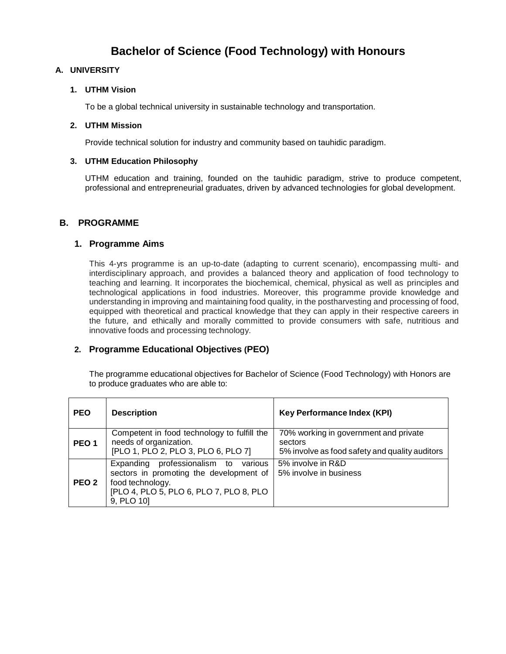# **Bachelor of Science (Food Technology) with Honours**

## **A. UNIVERSITY**

#### **1. UTHM Vision**

To be a global technical university in sustainable technology and transportation.

#### **2. UTHM Mission**

Provide technical solution for industry and community based on tauhidic paradigm.

#### **3. UTHM Education Philosophy**

UTHM education and training, founded on the tauhidic paradigm, strive to produce competent, professional and entrepreneurial graduates, driven by advanced technologies for global development.

## **B. PROGRAMME**

#### **1. Programme Aims**

This 4-yrs programme is an up-to-date (adapting to current scenario), encompassing multi- and interdisciplinary approach, and provides a balanced theory and application of food technology to teaching and learning. It incorporates the biochemical, chemical, physical as well as principles and technological applications in food industries. Moreover, this programme provide knowledge and understanding in improving and maintaining food quality, in the postharvesting and processing of food, equipped with theoretical and practical knowledge that they can apply in their respective careers in the future, and ethically and morally committed to provide consumers with safe, nutritious and innovative foods and processing technology.

# **2. Programme Educational Objectives (PEO)**

The programme educational objectives for Bachelor of Science (Food Technology) with Honors are to produce graduates who are able to:

| <b>PEO</b>       | <b>Description</b>                                                                                                                                              | <b>Key Performance Index (KPI)</b>                                                                 |
|------------------|-----------------------------------------------------------------------------------------------------------------------------------------------------------------|----------------------------------------------------------------------------------------------------|
| PEO <sub>1</sub> | Competent in food technology to fulfill the<br>needs of organization.<br>[PLO 1, PLO 2, PLO 3, PLO 6, PLO 7]                                                    | 70% working in government and private<br>sectors<br>5% involve as food safety and quality auditors |
| PEO <sub>2</sub> | Expanding professionalism to<br>various<br>sectors in promoting the development of<br>food technology.<br>[PLO 4, PLO 5, PLO 6, PLO 7, PLO 8, PLO<br>9, PLO 10] | 5% involve in R&D<br>5% involve in business                                                        |